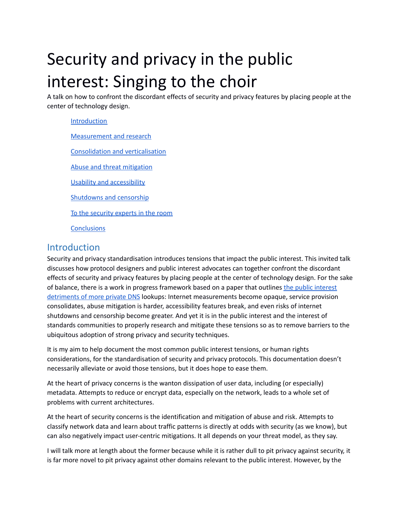# Security and privacy in the public interest: Singing to the choir

A talk on how to confront the discordant effects of security and privacy features by placing people at the center of technology design.

# [Introduction](#page-0-0) [Measurement](#page-1-0) and research Consolidation and [verticalisation](#page-1-1) Abuse and threat [mitigation](#page-2-0) Usability and [accessibility](#page-2-1) [Shutdowns](#page-3-0) and censorship To the [security](#page-3-1) experts in the room

**[Conclusions](#page-3-2)** 

#### <span id="page-0-0"></span>Introduction

Security and privacy standardisation introduces tensions that impact the public interest. This invited talk discusses how protocol designers and public interest advocates can together confront the discordant effects of security and privacy features by placing people at the center of technology design. For the sake of balance, there is a work in progress framework based on a paper that outlines the public [interest](https://github.com/mallory/DNS-Privacy/blob/main/DNS%20Privacy%20Vs..md) [detriments](https://github.com/mallory/DNS-Privacy/blob/main/DNS%20Privacy%20Vs..md) of more private DNS lookups: Internet measurements become opaque, service provision consolidates, abuse mitigation is harder, accessibility features break, and even risks of internet shutdowns and censorship become greater. And yet it is in the public interest and the interest of standards communities to properly research and mitigate these tensions so as to remove barriers to the ubiquitous adoption of strong privacy and security techniques.

It is my aim to help document the most common public interest tensions, or human rights considerations, for the standardisation of security and privacy protocols. This documentation doesn't necessarily alleviate or avoid those tensions, but it does hope to ease them.

At the heart of privacy concerns is the wanton dissipation of user data, including (or especially) metadata. Attempts to reduce or encrypt data, especially on the network, leads to a whole set of problems with current architectures.

At the heart of security concerns is the identification and mitigation of abuse and risk. Attempts to classify network data and learn about traffic patterns is directly at odds with security (as we know), but can also negatively impact user-centric mitigations. It all depends on your threat model, as they say.

I will talk more at length about the former because while it is rather dull to pit privacy against security, it is far more novel to pit privacy against other domains relevant to the public interest. However, by the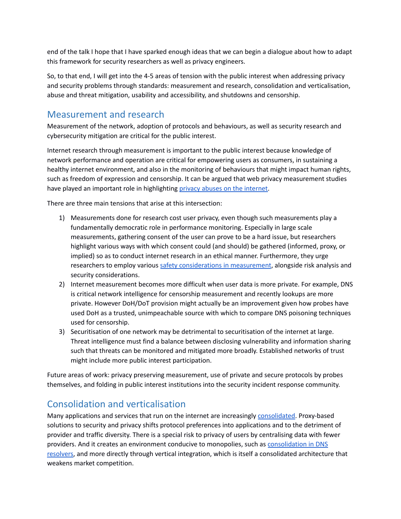end of the talk I hope that I have sparked enough ideas that we can begin a dialogue about how to adapt this framework for security researchers as well as privacy engineers.

So, to that end, I will get into the 4-5 areas of tension with the public interest when addressing privacy and security problems through standards: measurement and research, consolidation and verticalisation, abuse and threat mitigation, usability and accessibility, and shutdowns and censorship.

#### <span id="page-1-0"></span>Measurement and research

Measurement of the network, adoption of protocols and behaviours, as well as security research and cybersecurity mitigation are critical for the public interest.

Internet research through measurement is important to the public interest because knowledge of network performance and operation are critical for empowering users as consumers, in sustaining a healthy internet environment, and also in the monitoring of behaviours that might impact human rights, such as freedom of expression and censorship. It can be argued that web privacy measurement studies have played an important role in highlighting privacy abuses on the [internet](https://dl.acm.org/doi/10.1145/3289166.3289174).

There are three main tensions that arise at this intersection:

- 1) Measurements done for research cost user privacy, even though such measurements play a fundamentally democratic role in performance monitoring. Especially in large scale measurements, gathering consent of the user can prove to be a hard issue, but researchers highlight various ways with which consent could (and should) be gathered (informed, proxy, or implied) so as to conduct internet research in an ethical manner. Furthermore, they urge researchers to employ various safety [considerations](https://datatracker.ietf.org/doc/html/draft-learmonth-pearg-safe-internet-measurement-02) in measurement, alongside risk analysis and security considerations.
- 2) Internet measurement becomes more difficult when user data is more private. For example, DNS is critical network intelligence for censorship measurement and recently lookups are more private. However DoH/DoT provision might actually be an improvement given how probes have used DoH as a trusted, unimpeachable source with which to compare DNS poisoning techniques used for censorship.
- 3) Securitisation of one network may be detrimental to securitisation of the internet at large. Threat intelligence must find a balance between disclosing vulnerability and information sharing such that threats can be monitored and mitigated more broadly. Established networks of trust might include more public interest participation.

Future areas of work: privacy preserving measurement, use of private and secure protocols by probes themselves, and folding in public interest institutions into the security incident response community.

## <span id="page-1-1"></span>Consolidation and verticalisation

Many applications and services that run on the internet are increasingly [consolidated.](https://future.internetsociety.org/2019/consolidation-in-the-internet-economy/) Proxy-based solutions to security and privacy shifts protocol preferences into applications and to the detriment of provider and traffic diversity. There is a special risk to privacy of users by centralising data with fewer providers. And it creates an environment conducive to monopolies, such as [consolidation](https://www.tandfonline.com/doi/full/10.1080/23738871.2020.1722191) in DNS [resolvers](https://www.tandfonline.com/doi/full/10.1080/23738871.2020.1722191), and more directly through vertical integration, which is itself a consolidated architecture that weakens market competition.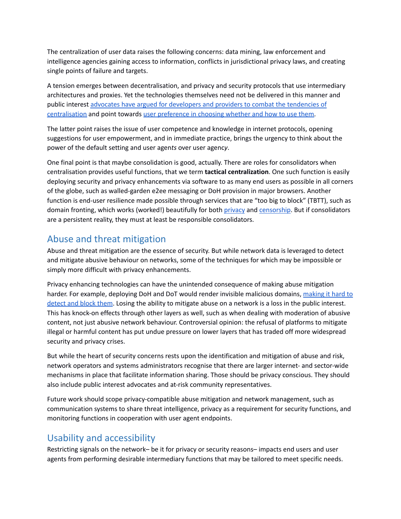The centralization of user data raises the following concerns: data mining, law enforcement and intelligence agencies gaining access to information, conflicts in jurisdictional privacy laws, and creating single points of failure and targets.

A tension emerges between decentralisation, and privacy and security protocols that use intermediary architectures and proxies. Yet the technologies themselves need not be delivered in this manner and public interest advocates have argued for [developers](https://www.openrightsgroup.org/publications/dns-security-getting-it-right/) and providers to combat the tendencies of [centralisation](https://www.openrightsgroup.org/publications/dns-security-getting-it-right/) and point towards user [preference](https://www.eff.org/deeplinks/2019/09/encrypted-dns-could-help-close-biggest-privacy-ga-internet-why-are-some-groups) in choosing whether and how to use them.

The latter point raises the issue of user competence and knowledge in internet protocols, opening suggestions for user empowerment, and in immediate practice, brings the urgency to think about the power of the default setting and user agen*ts* over user agenc*y*.

One final point is that maybe consolidation is good, actually. There are roles for consolidators when centralisation provides useful functions, that we term **tactical centralization**. One such function is easily deploying security and privacy enhancements via software to as many end users as possible in all corners of the globe, such as walled-garden e2ee messaging or DoH provision in major browsers. Another function is end-user resilience made possible through services that are "too big to block" (TBTT), such as domain fronting, which works (worked!) beautifully for both [privacy](https://www.sciendo.com/article/10.1515/popets-2015-0009) and [censorship](https://blog.torproject.org/domain-fronting-critical-open-web). But if consolidators are a persistent reality, they must at least be responsible consolidators.

#### <span id="page-2-0"></span>Abuse and threat mitigation

Abuse and threat mitigation are the essence of security. But while network data is leveraged to detect and mitigate abusive behaviour on networks, some of the techniques for which may be impossible or simply more difficult with privacy enhancements.

Privacy enhancing technologies can have the unintended consequence of making abuse mitigation harder. For example, deploying DoH and DoT would render invisible malicious domains, [making](https://doi.org/10.1145/3320269.3384728) it hard to [detect](https://doi.org/10.1145/3320269.3384728) and block them. Losing the ability to mitigate abuse on a network is a loss in the public interest. This has knock-on effects through other layers as well, such as when dealing with moderation of abusive content, not just abusive network behaviour. Controversial opinion: the refusal of platforms to mitigate illegal or harmful content has put undue pressure on lower layers that has traded off more widespread security and privacy crises.

But while the heart of security concerns rests upon the identification and mitigation of abuse and risk, network operators and systems administrators recognise that there are larger internet- and sector-wide mechanisms in place that facilitate information sharing. Those should be privacy conscious. They should also include public interest advocates and at-risk community representatives.

Future work should scope privacy-compatible abuse mitigation and network management, such as communication systems to share threat intelligence, privacy as a requirement for security functions, and monitoring functions in cooperation with user agent endpoints.

#### <span id="page-2-1"></span>Usability and accessibility

Restricting signals on the network– be it for privacy or security reasons– impacts end users and user agents from performing desirable intermediary functions that may be tailored to meet specific needs.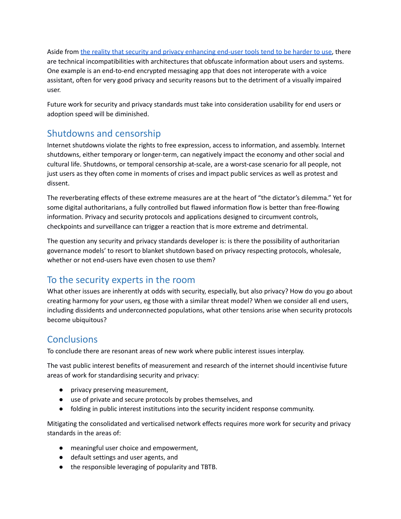Aside from the reality that security and privacy [enhancing](https://link.springer.com/chapter/10.1007/978-3-030-82786-1_13) end-user tools tend to be harder to use, there are technical incompatibilities with architectures that obfuscate information about users and systems. One example is an end-to-end encrypted messaging app that does not interoperate with a voice assistant, often for very good privacy and security reasons but to the detriment of a visually impaired user.

Future work for security and privacy standards must take into consideration usability for end users or adoption speed will be diminished.

# <span id="page-3-0"></span>Shutdowns and censorship

Internet shutdowns violate the rights to free expression, access to information, and assembly. Internet shutdowns, either temporary or longer-term, can negatively impact the economy and other social and cultural life. Shutdowns, or temporal censorship at-scale, are a worst-case scenario for all people, not just users as they often come in moments of crises and impact public services as well as protest and dissent.

The reverberating effects of these extreme measures are at the heart of "the dictator's dilemma." Yet for some digital authoritarians, a fully controlled but flawed information flow is better than free-flowing information. Privacy and security protocols and applications designed to circumvent controls, checkpoints and surveillance can trigger a reaction that is more extreme and detrimental.

The question any security and privacy standards developer is: is there the possibility of authoritarian governance models' to resort to blanket shutdown based on privacy respecting protocols, wholesale, whether or not end-users have even chosen to use them?

## <span id="page-3-1"></span>To the security experts in the room

What other issues are inherently at odds with security, especially, but also privacy? How do you go about creating harmony for *your* users, eg those with a similar threat model? When we consider all end users, including dissidents and underconnected populations, what other tensions arise when security protocols become ubiquitous?

# <span id="page-3-2"></span>**Conclusions**

To conclude there are resonant areas of new work where public interest issues interplay.

The vast public interest benefits of measurement and research of the internet should incentivise future areas of work for standardising security and privacy:

- privacy preserving measurement,
- use of private and secure protocols by probes themselves, and
- folding in public interest institutions into the security incident response community.

Mitigating the consolidated and verticalised network effects requires more work for security and privacy standards in the areas of:

- meaningful user choice and empowerment,
- default settings and user agents, and
- the responsible leveraging of popularity and TBTB.